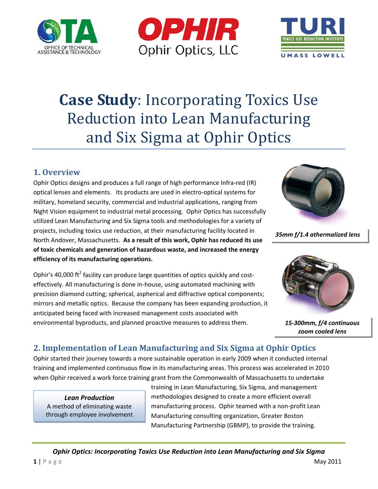





# **Case Study**: Incorporating Toxics Use Reduction into Lean Manufacturing and Six Sigma at Ophir Optics

### **1. Overview**

Ophir Optics designs and produces a full range of high performance Infra‐red (IR) optical lenses and elements. Its products are used in electro‐optical systems for military, homeland security, commercial and industrial applications, ranging from Night Vision equipment to industrial metal processing. Ophir Optics has successfully utilized Lean Manufacturing and Six Sigma tools and methodologies for a variety of projects, including toxics use reduction, at their manufacturing facility located in North Andover, Massachusetts. **As a result of this work, Ophir has reduced its use of toxic chemicals and generation of hazardous waste, and increased the energy efficiency of its manufacturing operations.**

Ophir's 40,000 ft<sup>2</sup> facility can produce large quantities of optics quickly and costeffectively. All manufacturing is done in‐house, using automated machining with precision diamond cutting; spherical, aspherical and diffractive optical components; mirrors and metallic optics. Because the company has been expanding production, it anticipated being faced with increased management costs associated with environmental byproducts, and planned proactive measures to address them.



*35mm f/1.4 athermalized lens*



*15‐300mm, f/4 continuous zoom cooled lens*

## **2. Implementation of Lean Manufacturing and Six Sigma at Ophir Optics**

Ophir started their journey towards a more sustainable operation in early 2009 when it conducted internal training and implemented continuous flow in its manufacturing areas. This process was accelerated in 2010 when Ophir received a work force training grant from the Commonwealth of Massachusetts to undertake

*Lean Production* A method of eliminating waste through employee involvement training in Lean Manufacturing, Six Sigma, and management methodologies designed to create a more efficient overall manufacturing process. Ophir teamed with a non‐profit Lean Manufacturing consulting organization, Greater Boston Manufacturing Partnership (GBMP), to provide the training.

*Ophir Optics: Incorporating Toxics Use Reduction into Lean Manufacturing and Six Sigma*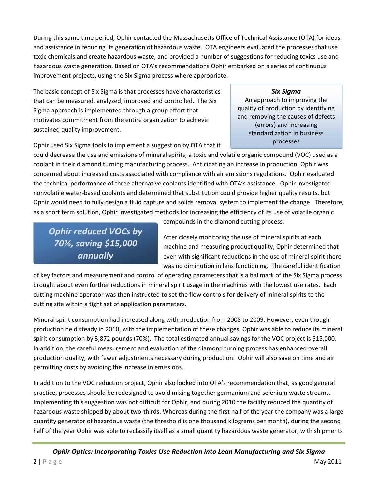During this same time period, Ophir contacted the Massachusetts Office of Technical Assistance (OTA) for ideas and assistance in reducing its generation of hazardous waste. OTA engineers evaluated the processes that use toxic chemicals and create hazardous waste, and provided a number of suggestions for reducing toxics use and hazardous waste generation. Based on OTA's recommendations Ophir embarked on a series of continuous improvement projects, using the Six Sigma process where appropriate.

The basic concept of Six Sigma is that processes have characteristics that can be measured, analyzed, improved and controlled. The Six Sigma approach is implemented through a group effort that motivates commitment from the entire organization to achieve sustained quality improvement.

Ophir used Six Sigma tools to implement a suggestion by OTA that it

# *Six Sigma*

An approach to improving the quality of production by identifying and removing the causes of defects (errors) and increasing standardization in business processes

could decrease the use and emissions of mineral spirits, a toxic and volatile organic compound (VOC) used as a coolant in their diamond turning manufacturing process. Anticipating an increase in production, Ophir was concerned about increased costs associated with compliance with air emissions regulations. Ophir evaluated the technical performance of three alternative coolants identified with OTA's assistance. Ophir investigated nonvolatile water‐based coolants and determined that substitution could provide higher quality results, but Ophir would need to fully design a fluid capture and solids removal system to implement the change. Therefore, as a short term solution, Ophir investigated methods for increasing the efficiency of its use of volatile organic

*Ophir reduced VOCs by 70%, saving \$15,000 annually*

compounds in the diamond cutting process.

After closely monitoring the use of mineral spirits at each machine and measuring product quality, Ophir determined that even with significant reductions in the use of mineral spirit there was no diminution in lens functioning. The careful identification

of key factors and measurement and control of operating parameters that is a hallmark of the Six Sigma process brought about even further reductions in mineral spirit usage in the machines with the lowest use rates. Each cutting machine operator was then instructed to set the flow controls for delivery of mineral spirits to the cutting site within a tight set of application parameters.

Mineral spirit consumption had increased along with production from 2008 to 2009. However, even though production held steady in 2010, with the implementation of these changes, Ophir was able to reduce its mineral spirit consumption by 3,872 pounds (70%). The total estimated annual savings for the VOC project is \$15,000. In addition, the careful measurement and evaluation of the diamond turning process has enhanced overall production quality, with fewer adjustments necessary during production. Ophir will also save on time and air permitting costs by avoiding the increase in emissions.

In addition to the VOC reduction project, Ophir also looked into OTA's recommendation that, as good general practice, processes should be redesigned to avoid mixing together germanium and selenium waste streams. Implementing this suggestion was not difficult for Ophir, and during 2010 the facility reduced the quantity of hazardous waste shipped by about two-thirds. Whereas during the first half of the year the company was a large quantity generator of hazardous waste (the threshold is one thousand kilograms per month), during the second half of the year Ophir was able to reclassify itself as a small quantity hazardous waste generator, with shipments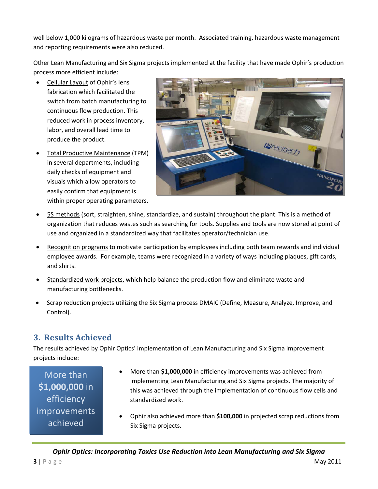well below 1,000 kilograms of hazardous waste per month. Associated training, hazardous waste management and reporting requirements were also reduced.

Other Lean Manufacturing and Six Sigma projects implemented at the facility that have made Ophir's production process more efficient include:

- Cellular Layout of Ophir's lens fabrication which facilitated the switch from batch manufacturing to continuous flow production. This reduced work in process inventory, labor, and overall lead time to produce the product.
- Total Productive Maintenance (TPM) in several departments, including daily checks of equipment and visuals which allow operators to easily confirm that equipment is within proper operating parameters.



- 5S methods (sort, straighten, shine, standardize, and sustain) throughout the plant. This is a method of organization that reduces wastes such as searching for tools. Supplies and tools are now stored at point of use and organized in a standardized way that facilitates operator/technician use.
- Recognition programs to motivate participation by employees including both team rewards and individual employee awards. For example, teams were recognized in a variety of ways including plaques, gift cards, and shirts.
- Standardized work projects, which help balance the production flow and eliminate waste and manufacturing bottlenecks.
- Scrap reduction projects utilizing the Six Sigma process DMAIC (Define, Measure, Analyze, Improve, and Control).

### **3. Results Achieved**

The results achieved by Ophir Optics' implementation of Lean Manufacturing and Six Sigma improvement projects include:

More than **\$1,000,000** in efficiency improvements achieved

- More than **\$1,000,000** in efficiency improvements was achieved from implementing Lean Manufacturing and Six Sigma projects. The majority of this was achieved through the implementation of continuous flow cells and standardized work.
- Ophir also achieved more than **\$100,000** in projected scrap reductions from Six Sigma projects.

*Ophir Optics: Incorporating Toxics Use Reduction into Lean Manufacturing and Six Sigma*